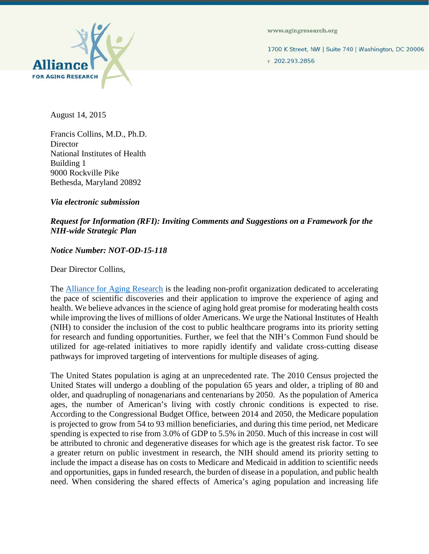

www.agingresearch.org

1700 K Street, NW | Suite 740 | Washington, DC 20006 7 202.293.2856

August 14, 2015

Francis Collins, M.D., Ph.D. **Director** National Institutes of Health Building 1 9000 Rockville Pike Bethesda, Maryland 20892

*Via electronic submission*

## *Request for Information (RFI): Inviting Comments and Suggestions on a Framework for the NIH-wide Strategic Plan*

## *Notice Number: NOT-OD-15-118*

Dear Director Collins,

The [Alliance for Aging Research](http://www.agingresearch.org/) is the leading non-profit organization dedicated to accelerating the pace of scientific discoveries and their application to improve the experience of aging and health. We believe advances in the science of aging hold great promise for moderating health costs while improving the lives of millions of older Americans. We urge the National Institutes of Health (NIH) to consider the inclusion of the cost to public healthcare programs into its priority setting for research and funding opportunities. Further, we feel that the NIH's Common Fund should be utilized for age-related initiatives to more rapidly identify and validate cross-cutting disease pathways for improved targeting of interventions for multiple diseases of aging.

The United States population is aging at an unprecedented rate. The 2010 Census projected the United States will undergo a doubling of the population 65 years and older, a tripling of 80 and older, and quadrupling of nonagenarians and centenarians by 2050. As the population of America ages, the number of American's living with costly chronic conditions is expected to rise. According to the Congressional Budget Office, between 2014 and 2050, the Medicare population is projected to grow from 54 to 93 million beneficiaries, and during this time period, net Medicare spending is expected to rise from 3.0% of GDP to 5.5% in 2050. Much of this increase in cost will be attributed to chronic and degenerative diseases for which age is the greatest risk factor. To see a greater return on public investment in research, the NIH should amend its priority setting to include the impact a disease has on costs to Medicare and Medicaid in addition to scientific needs and opportunities, gaps in funded research, the burden of disease in a population, and public health need. When considering the shared effects of America's aging population and increasing life